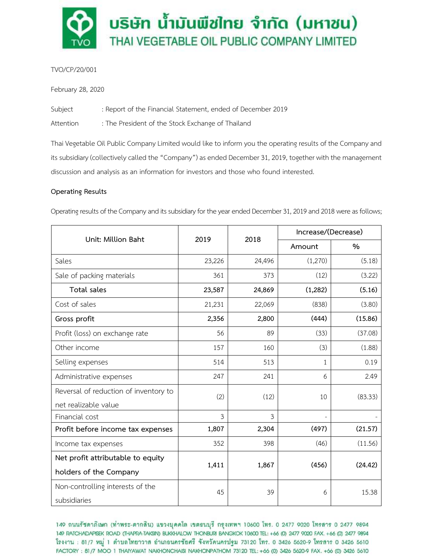

# TVO/CP/20/001

February 28, 2020

Subject : Report of the Financial Statement, ended of December 2019

Attention : The President of the Stock Exchange of Thailand

Thai Vegetable Oil Public Company Limited would like to inform you the operating results of the Company and its subsidiary (collectively called the "Company") as ended December 31, 2019, together with the management discussion and analysis as an information for investors and those who found interested.

## **Operating Results**

Operating results of the Company and its subsidiary for the year ended December 31, 2019 and 2018 were as follows;

| Unit: Million Baht                    | 2019   | 2018   | Increase/(Decrease) |         |
|---------------------------------------|--------|--------|---------------------|---------|
|                                       |        |        | Amount              | $\%$    |
| Sales                                 | 23,226 | 24,496 | (1,270)             | (5.18)  |
| Sale of packing materials             | 361    | 373    | (12)                | (3.22)  |
| Total sales                           | 23,587 | 24,869 | (1,282)             | (5.16)  |
| Cost of sales                         | 21,231 | 22,069 | (838)               | (3.80)  |
| Gross profit                          | 2,356  | 2,800  | (444)               | (15.86) |
| Profit (loss) on exchange rate        | 56     | 89     | (33)                | (37.08) |
| Other income                          | 157    | 160    | (3)                 | (1.88)  |
| Selling expenses                      | 514    | 513    | 1                   | 0.19    |
| Administrative expenses               | 247    | 241    | 6                   | 2.49    |
| Reversal of reduction of inventory to | (2)    | (12)   | 10                  | (83.33) |
| net realizable value                  |        |        |                     |         |
| Financial cost                        | 3      | 3      |                     |         |
| Profit before income tax expenses     | 1,807  | 2,304  | (497)               | (21.57) |
| Income tax expenses                   | 352    | 398    | (46)                | (11.56) |
| Net profit attributable to equity     | 1,411  | 1,867  | (456)               | (24.42) |
| holders of the Company                |        |        |                     |         |
| Non-controlling interests of the      | 45     | 39     | 6                   | 15.38   |
| subsidiaries                          |        |        |                     |         |

149 ถนนรัชดาภิเษก (ท่าพระ-ตากสิน) แขวงบุคคโล เขตธนบุรี กรุงเทพฯ 10600 โทร. 0 2477 9020 โทรสาร 0 2477 9894 149 RATCHADAPISEK ROAD (THAPRA-TAKSIN) BUKKHALOW THONBURI BANGKOK 10600 TEL: +66 (0) 2477 9020 FAX. +66 (0) 2477 9894 โรงงาน : 81/7 หมู่ 1 ตำบลไทยาวาส อำเภอนครชัยศรี จังหวัดนครปฐม 73120 โทร. 0 3426 5620-9 โทรสาร 0 3426 5610 FACTORY: 81/7 MOO 1 THAIYAWAT NAKHONCHAISI NAKHONPATHOM 73120 TEL: +66 (0) 3426 5620-9 FAX. +66 (0) 3426 5610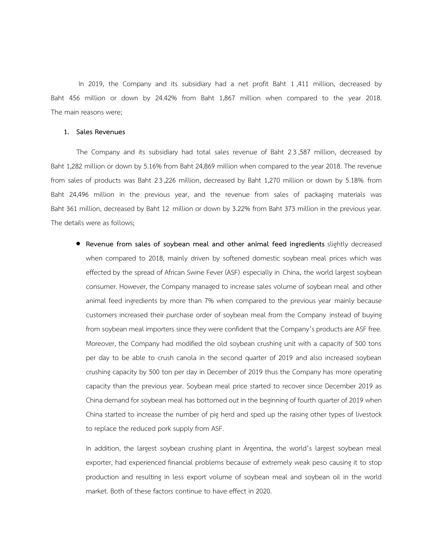In 2019, the Company and its subsidiary had a net profit Baht 1 ,411 million, decreased by Baht 456 million or down by 24.42% from Baht 1,867 million when compared to the year 2018. The main reasons were;

#### **1. Sales Revenues**

The Company and its subsidiary had total sales revenue of Baht 2 3,587 million, decreased by Baht 1,282 million or down by 5.16% from Baht 24,869 million when compared to the year 2018. The revenue from sales of products was Baht 2 3,226 million, decreased by Baht 1,270 million or down by 5.18% from Baht 24,496 million in the previous year, and the revenue from sales of packaging materials was Baht 361 million, decreased by Baht 12 million or down by 3.22% from Baht 373 million in the previous year. The details were as follows;

 **Revenue from sales of soybean meal and other animal feed ingredients** slightly decreased when compared to 2018, mainly driven by softened domestic soybean meal prices which was effected by the spread of African Swine Fever (ASF) especially in China, the world largest soybean consumer. However, the Company managed to increase sales volume of soybean meal and other animal feed ingredients by more than 7% when compared to the previous year mainly because customers increased their purchase order of soybean meal from the Company instead of buying from soybean meal importers since they were confident that the Company's products are ASF free. Moreover, the Company had modified the old soybean crushing unit with a capacity of 500 tons per day to be able to crush canola in the second quarter of 2019 and also increased soybean crushing capacity by 500 ton per day in December of 2019 thus the Company has more operating capacity than the previous year. Soybean meal price started to recover since December 2019 as China demand for soybean meal has bottomed out in the beginning of fourth quarter of 2019 when China started to increase the number of pig herd and sped up the raising other types of livestock to replace the reduced pork supply from ASF.

In addition, the largest soybean crushing plant in Argentina, the world's largest soybean meal exporter, had experienced financial problems because of extremely weak peso causing it to stop production and resulting in less export volume of soybean meal and soybean oil in the world market. Both of these factors continue to have effect in 2020.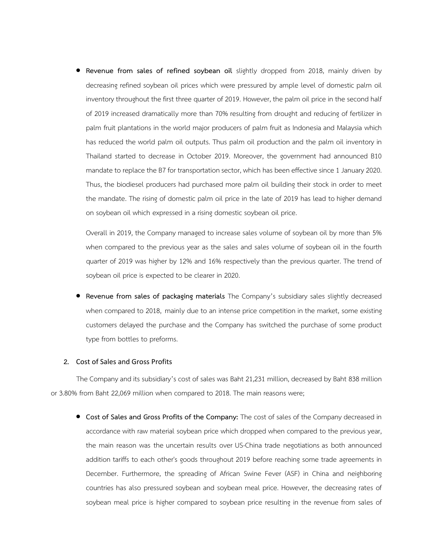**Revenue from sales of refined soybean oil** slightly dropped from 2018, mainly driven by decreasing refined soybean oil prices which were pressured by ample level of domestic palm oil inventory throughout the first three quarter of 2019. However, the palm oil price in the second half of 2019 increased dramatically more than 70% resulting from drought and reducing of fertilizer in palm fruit plantations in the world major producers of palm fruit as Indonesia and Malaysia which has reduced the world palm oil outputs. Thus palm oil production and the palm oil inventory in Thailand started to decrease in October 2019. Moreover, the government had announced B10 mandate to replace the B7 for transportation sector, which has been effective since 1 January 2020. Thus, the biodiesel producers had purchased more palm oil building their stock in order to meet the mandate. The rising of domestic palm oil price in the late of 2019 has lead to higher demand on soybean oil which expressed in a rising domestic soybean oil price.

Overall in 2019, the Company managed to increase sales volume of soybean oil by more than 5% when compared to the previous year as the sales and sales volume of soybean oil in the fourth quarter of 2019 was higher by 12% and 16% respectively than the previous quarter. The trend of soybean oil price is expected to be clearer in 2020.

 **Revenue from sales of packaging materials** The Company's subsidiary sales slightly decreased when compared to 2018, mainly due to an intense price competition in the market, some existing customers delayed the purchase and the Company has switched the purchase of some product type from bottles to preforms.

## **2.** Cost of Sales and Gross Profits

The Company and its subsidiary's cost of sales was Baht 21,231 million, decreased by Baht 838 million or 3.80% from Baht 22,069 million when compared to 2018. The main reasons were;

 **Cost of Sales and Gross Profits of the Company:** The cost of sales of the Company decreased in accordance with raw material soybean price which dropped when compared to the previous year, the main reason was the uncertain results over US-China trade negotiations as both announced addition tariffs to each other's goods throughout 2019 before reaching some trade agreements in December. Furthermore, the spreading of African Swine Fever (ASF) in China and neighboring countries has also pressured soybean and soybean meal price. However, the decreasing rates of soybean meal price is higher compared to soybean price resulting in the revenue from sales of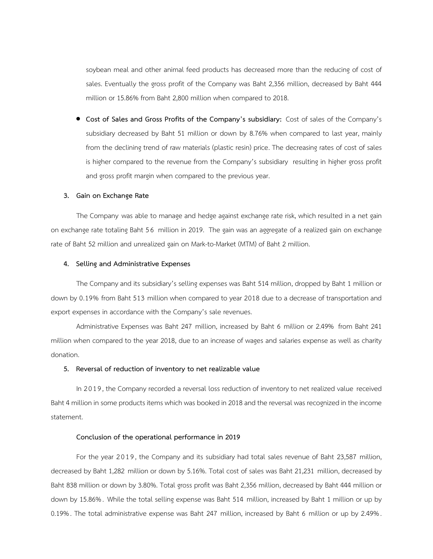soybean meal and other animal feed products has decreased more than the reducing of cost of sales. Eventually the gross profit of the Company was Baht 2,356 million, decreased by Baht 444 million or 15.86% from Baht 2,800 million when compared to 2018.

 **Cost of Sales and Gross Profits of the Company's subsidiary:** Cost of sales of the Company's subsidiary decreased by Baht 51 million or down by 8.76% when compared to last year, mainly from the declining trend of raw materials (plastic resin) price. The decreasing rates of cost of sales is higher compared to the revenue from the Company's subsidiary resulting in higher gross profit and gross profit margin when compared to the previous year.

#### **3. Gain on Exchange Rate**

The Company was able to manage and hedge against exchange rate risk, which resulted in a net gain on exchange rate totaling Baht 5 6 million in 2019. The gain was an aggregate of a realized gain on exchange rate of Baht 52 million and unrealized gain on Mark-to-Market (MTM) of Baht 2 million.

## **4. Selling and Administrative Expenses**

The Company and its subsidiary's selling expenses was Baht 514 million, dropped by Baht 1 million or down by 0.19% from Baht 513 million when compared to year 2018 due to a decrease of transportation and export expenses in accordance with the Company's sale revenues.

Administrative Expenses was Baht 247 million, increased by Baht 6 million or 2.49% from Baht 241 million when compared to the year 2018, due to an increase of wages and salaries expense as well as charity donation.

## **5. Reversal of reduction of inventory to net realizable value**

In 2019, the Company recorded a reversal loss reduction of inventory to net realized value received Baht 4 million in some products items which was booked in 2018 and the reversal was recognized in the income statement.

#### **Conclusion of the operational performance in 2019**

For the year 2019, the Company and its subsidiary had total sales revenue of Baht 23,587 million, decreased by Baht 1,282 million or down by 5.16%. Total cost of sales was Baht 21,231 million, decreased by Baht 838 million or down by 3.80%. Total gross profit was Baht 2,356 million, decreased by Baht 444 million or down by 15.86%. While the total selling expense was Baht 514 million, increased by Baht 1 million or up by 0.19%. The total administrative expense was Baht 247 million, increased by Baht 6 million or up by 2.49%.